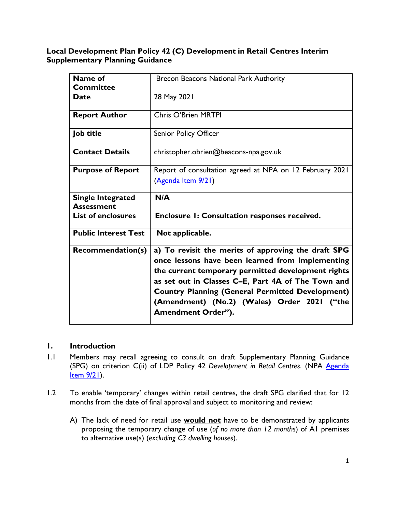## **Local Development Plan Policy 42 (C) Development in Retail Centres Interim Supplementary Planning Guidance**

| Name of<br><b>Committee</b>                   | Brecon Beacons National Park Authority                                                                                                                                                                                                                                                                                                                     |
|-----------------------------------------------|------------------------------------------------------------------------------------------------------------------------------------------------------------------------------------------------------------------------------------------------------------------------------------------------------------------------------------------------------------|
| <b>Date</b>                                   | 28 May 2021                                                                                                                                                                                                                                                                                                                                                |
| <b>Report Author</b>                          | Chris O'Brien MRTPI                                                                                                                                                                                                                                                                                                                                        |
| Job title                                     | <b>Senior Policy Officer</b>                                                                                                                                                                                                                                                                                                                               |
| <b>Contact Details</b>                        | christopher.obrien@beacons-npa.gov.uk                                                                                                                                                                                                                                                                                                                      |
| <b>Purpose of Report</b>                      | Report of consultation agreed at NPA on 12 February 2021<br>(Agenda Item 9/21)                                                                                                                                                                                                                                                                             |
| <b>Single Integrated</b><br><b>Assessment</b> | N/A                                                                                                                                                                                                                                                                                                                                                        |
| <b>List of enclosures</b>                     | Enclosure 1: Consultation responses received.                                                                                                                                                                                                                                                                                                              |
| <b>Public Interest Test</b>                   | Not applicable.                                                                                                                                                                                                                                                                                                                                            |
| <b>Recommendation(s)</b>                      | a) To revisit the merits of approving the draft SPG<br>once lessons have been learned from implementing<br>the current temporary permitted development rights<br>as set out in Classes C-E, Part 4A of The Town and<br><b>Country Planning (General Permitted Development)</b><br>(Amendment) (No.2) (Wales) Order 2021 ("the<br><b>Amendment Order").</b> |

## **1. Introduction**

- 1.1 Members may recall agreeing to consult on draft Supplementary Planning Guidance (SPG) on criterion C(ii) of LDP Policy 42 *Development in Retail Centres*. (NPA [Agenda](https://governance.beacons-npa.gov.uk/ieListDocuments.aspx?CId=136&MId=7900) [Item](https://governance.beacons-npa.gov.uk/ieListDocuments.aspx?CId=136&MId=7900) 9/21).
- 1.2 To enable 'temporary' changes within retail centres, the draft SPG clarified that for 12 months from the date of final approval and subject to monitoring and review:
	- A) The lack of need for retail use **would not** have to be demonstrated by applicants proposing the temporary change of use (*of no more than 12 months*) of A1 premises to alternative use(s) (*excluding C3 dwelling houses*).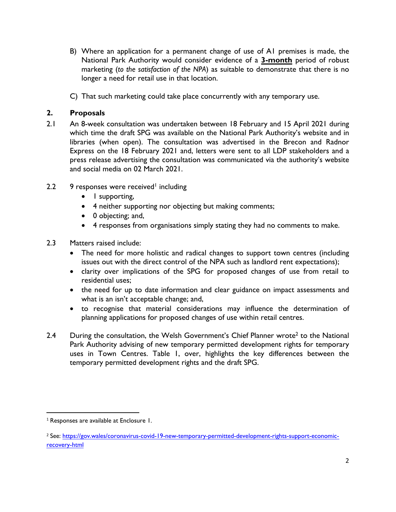- B) Where an application for a permanent change of use of A1 premises is made, the National Park Authority would consider evidence of a **3-month** period of robust marketing (*to the satisfaction of the NPA*) as suitable to demonstrate that there is no longer a need for retail use in that location.
- C) That such marketing could take place concurrently with any temporary use.

## **2. Proposals**

- 2.1 An 8-week consultation was undertaken between 18 February and 15 April 2021 during which time the draft SPG was available on the National Park Authority's website and in libraries (when open). The consultation was advertised in the Brecon and Radnor Express on the 18 February 2021 and, letters were sent to all LDP stakeholders and a press release advertising the consultation was communicated via the authority's website and social media on 02 March 2021.
- 2.2 9 responses were received<sup>1</sup> including
	- I supporting,
	- 4 neither supporting nor objecting but making comments;
	- 0 objecting; and,
	- 4 responses from organisations simply stating they had no comments to make.
- 2.3 Matters raised include:
	- The need for more holistic and radical changes to support town centres (including issues out with the direct control of the NPA such as landlord rent expectations);
	- clarity over implications of the SPG for proposed changes of use from retail to residential uses;
	- the need for up to date information and clear guidance on impact assessments and what is an isn't acceptable change; and,
	- to recognise that material considerations may influence the determination of planning applications for proposed changes of use within retail centres.
- 2.4 During the consultation, the Welsh Government's Chief Planner wrote<sup>2</sup> to the National Park Authority advising of new temporary permitted development rights for temporary uses in Town Centres. Table 1, over, highlights the key differences between the temporary permitted development rights and the draft SPG.

<sup>&</sup>lt;sup>1</sup> Responses are available at Enclosure 1.

<sup>2</sup> See: [https://gov.wales/coronavirus-covid-19-new-temporary-permitted-development-rights-support-economic](https://gov.wales/coronavirus-covid-19-new-temporary-permitted-development-rights-support-economic-recovery-html)[recovery-html](https://gov.wales/coronavirus-covid-19-new-temporary-permitted-development-rights-support-economic-recovery-html)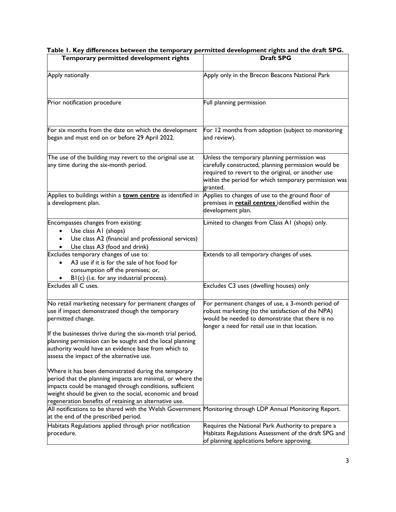| Temporary permitted development rights                                                                                                                                                                                                                                                             | <b>Draft SPG</b>                                                                                                                                                                                                              |
|----------------------------------------------------------------------------------------------------------------------------------------------------------------------------------------------------------------------------------------------------------------------------------------------------|-------------------------------------------------------------------------------------------------------------------------------------------------------------------------------------------------------------------------------|
| Apply nationally                                                                                                                                                                                                                                                                                   | Apply only in the Brecon Beacons National Park                                                                                                                                                                                |
| Prior notification procedure                                                                                                                                                                                                                                                                       | Full planning permission                                                                                                                                                                                                      |
| For six months from the date on which the development<br>began and must end on or before 29 April 2022.                                                                                                                                                                                            | For 12 months from adoption (subject to monitoring<br>and review).                                                                                                                                                            |
| The use of the building may revert to the original use at<br>any time during the six-month period.                                                                                                                                                                                                 | Unless the temporary planning permission was<br>carefully constructed, planning permission would be<br>required to revert to the original, or another use<br>within the period for which temporary permission was<br>granted. |
| Applies to buildings within a <b>town centre</b> as identified in<br>a development plan.                                                                                                                                                                                                           | Applies to changes of use to the ground floor of<br>premises in <b>retail centres</b> identified within the<br>development plan.                                                                                              |
| Encompasses changes from existing:<br>Use class A1 (shops)<br>Use class A2 (financial and professional services)<br>Use class A3 (food and drink)                                                                                                                                                  | Limited to changes from Class A1 (shops) only.                                                                                                                                                                                |
| Excludes temporary changes of use to:<br>A3 use if it is for the sale of hot food for<br>consumption off the premises; or,<br>B1(c) (i.e. for any industrial process).                                                                                                                             | Extends to all temporary changes of uses.                                                                                                                                                                                     |
| Excludes all C uses.                                                                                                                                                                                                                                                                               | Excludes C3 uses (dwelling houses) only                                                                                                                                                                                       |
| No retail marketing necessary for permanent changes of<br>use if impact demonstrated though the temporary<br>permitted change.<br>If the businesses thrive during the six-month trial period,                                                                                                      | For permanent changes of use, a 3-month period of<br>robust marketing (to the satisfaction of the NPA)<br>would be needed to demonstrate that there is no<br>longer a need for retail use in that location.                   |
| planning permission can be sought and the local planning<br>authority would have an evidence base from which to<br>assess the impact of the alternative use.                                                                                                                                       |                                                                                                                                                                                                                               |
| Where it has been demonstrated during the temporary<br>period that the planning impacts are minimal, or where the<br>impacts could be managed through conditions, sufficient<br>weight should be given to the social, economic and broad<br>regeneration benefits of retaining an alternative use. |                                                                                                                                                                                                                               |
| All notifications to be shared with the Welsh Government Monitoring through LDP Annual Monitoring Report.<br>at the end of the prescribed period.                                                                                                                                                  |                                                                                                                                                                                                                               |
| Habitats Regulations applied through prior notification<br>procedure.                                                                                                                                                                                                                              | Requires the National Park Authority to prepare a<br>Habitats Regulations Assessment of the draft SPG and<br>of planning applications before approving.                                                                       |

#### **Table 1. Key differences between the temporary permitted development rights and the draft SPG.**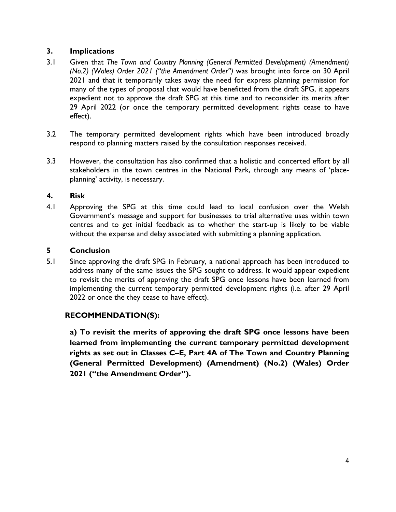# **3. Implications**

- 3.1 Given that *The Town and Country Planning (General Permitted Development) (Amendment) (No.2) (Wales) Order 2021 ("the Amendment Order")* was brought into force on 30 April 2021 and that it temporarily takes away the need for express planning permission for many of the types of proposal that would have benefitted from the draft SPG, it appears expedient not to approve the draft SPG at this time and to reconsider its merits after 29 April 2022 (or once the temporary permitted development rights cease to have effect).
- 3.2 The temporary permitted development rights which have been introduced broadly respond to planning matters raised by the consultation responses received.
- 3.3 However, the consultation has also confirmed that a holistic and concerted effort by all stakeholders in the town centres in the National Park, through any means of 'placeplanning' activity, is necessary.

## **4. Risk**

4.1 Approving the SPG at this time could lead to local confusion over the Welsh Government's message and support for businesses to trial alternative uses within town centres and to get initial feedback as to whether the start-up is likely to be viable without the expense and delay associated with submitting a planning application.

# **5 Conclusion**

5.1 Since approving the draft SPG in February, a national approach has been introduced to address many of the same issues the SPG sought to address. It would appear expedient to revisit the merits of approving the draft SPG once lessons have been learned from implementing the current temporary permitted development rights (i.e. after 29 April 2022 or once the they cease to have effect).

# **RECOMMENDATION(S):**

**a) To revisit the merits of approving the draft SPG once lessons have been learned from implementing the current temporary permitted development rights as set out in Classes C–E, Part 4A of The Town and Country Planning (General Permitted Development) (Amendment) (No.2) (Wales) Order 2021 ("the Amendment Order").**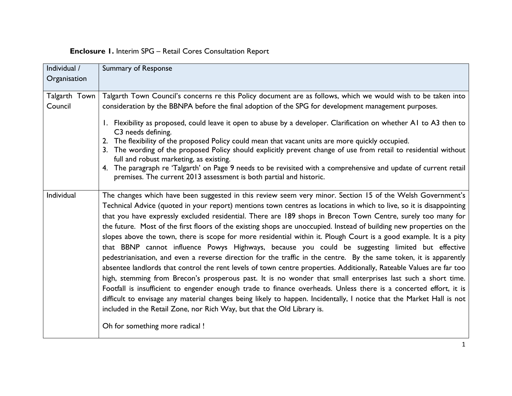# **Enclosure 1.** Interim SPG – Retail Cores Consultation Report

| Individual /             | Summary of Response                                                                                                                                                                                                                                                                                                                                                                                                                                                                                                                                                                                                                                                                                                                                                                                                                                                                                                                                                                                                                                                                                                                                                                                                                                                                                                                                                                                                            |
|--------------------------|--------------------------------------------------------------------------------------------------------------------------------------------------------------------------------------------------------------------------------------------------------------------------------------------------------------------------------------------------------------------------------------------------------------------------------------------------------------------------------------------------------------------------------------------------------------------------------------------------------------------------------------------------------------------------------------------------------------------------------------------------------------------------------------------------------------------------------------------------------------------------------------------------------------------------------------------------------------------------------------------------------------------------------------------------------------------------------------------------------------------------------------------------------------------------------------------------------------------------------------------------------------------------------------------------------------------------------------------------------------------------------------------------------------------------------|
| Organisation             |                                                                                                                                                                                                                                                                                                                                                                                                                                                                                                                                                                                                                                                                                                                                                                                                                                                                                                                                                                                                                                                                                                                                                                                                                                                                                                                                                                                                                                |
| Talgarth Town<br>Council | Talgarth Town Council's concerns re this Policy document are as follows, which we would wish to be taken into<br>consideration by the BBNPA before the final adoption of the SPG for development management purposes.<br>1. Flexibility as proposed, could leave it open to abuse by a developer. Clarification on whether A1 to A3 then to<br>C3 needs defining.<br>2. The flexibility of the proposed Policy could mean that vacant units are more quickly occupied.<br>3. The wording of the proposed Policy should explicitly prevent change of use from retail to residential without<br>full and robust marketing, as existing.<br>4. The paragraph re 'Talgarth' on Page 9 needs to be revisited with a comprehensive and update of current retail<br>premises. The current 2013 assessment is both partial and historic.                                                                                                                                                                                                                                                                                                                                                                                                                                                                                                                                                                                               |
| Individual               | The changes which have been suggested in this review seem very minor. Section 15 of the Welsh Government's<br>Technical Advice (quoted in your report) mentions town centres as locations in which to live, so it is disappointing<br>that you have expressly excluded residential. There are 189 shops in Brecon Town Centre, surely too many for<br>the future. Most of the first floors of the existing shops are unoccupied. Instead of building new properties on the<br>slopes above the town, there is scope for more residential within it. Plough Court is a good example. It is a pity<br>that BBNP cannot influence Powys Highways, because you could be suggesting limited but effective<br>pedestrianisation, and even a reverse direction for the traffic in the centre. By the same token, it is apparently<br>absentee landlords that control the rent levels of town centre properties. Additionally, Rateable Values are far too<br>high, stemming from Brecon's prosperous past. It is no wonder that small enterprises last such a short time.<br>Footfall is insufficient to engender enough trade to finance overheads. Unless there is a concerted effort, it is<br>difficult to envisage any material changes being likely to happen. Incidentally, I notice that the Market Hall is not<br>included in the Retail Zone, nor Rich Way, but that the Old Library is.<br>Oh for something more radical ! |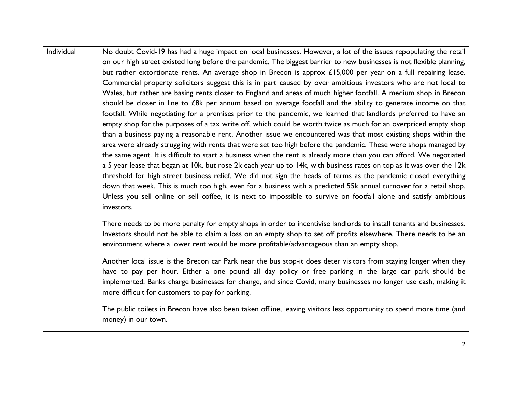| Individual | No doubt Covid-19 has had a huge impact on local businesses. However, a lot of the issues repopulating the retail<br>on our high street existed long before the pandemic. The biggest barrier to new businesses is not flexible planning,<br>but rather extortionate rents. An average shop in Brecon is approx £15,000 per year on a full repairing lease.<br>Commercial property solicitors suggest this is in part caused by over ambitious investors who are not local to<br>Wales, but rather are basing rents closer to England and areas of much higher footfall. A medium shop in Brecon<br>should be closer in line to £8k per annum based on average footfall and the ability to generate income on that<br>footfall. While negotiating for a premises prior to the pandemic, we learned that landlords preferred to have an<br>empty shop for the purposes of a tax write off, which could be worth twice as much for an overpriced empty shop<br>than a business paying a reasonable rent. Another issue we encountered was that most existing shops within the<br>area were already struggling with rents that were set too high before the pandemic. These were shops managed by<br>the same agent. It is difficult to start a business when the rent is already more than you can afford. We negotiated<br>a 5 year lease that began at 10k, but rose 2k each year up to 14k, with business rates on top as it was over the 12k<br>threshold for high street business relief. We did not sign the heads of terms as the pandemic closed everything<br>down that week. This is much too high, even for a business with a predicted 55k annual turnover for a retail shop.<br>Unless you sell online or sell coffee, it is next to impossible to survive on footfall alone and satisfy ambitious<br>investors. |
|------------|-----------------------------------------------------------------------------------------------------------------------------------------------------------------------------------------------------------------------------------------------------------------------------------------------------------------------------------------------------------------------------------------------------------------------------------------------------------------------------------------------------------------------------------------------------------------------------------------------------------------------------------------------------------------------------------------------------------------------------------------------------------------------------------------------------------------------------------------------------------------------------------------------------------------------------------------------------------------------------------------------------------------------------------------------------------------------------------------------------------------------------------------------------------------------------------------------------------------------------------------------------------------------------------------------------------------------------------------------------------------------------------------------------------------------------------------------------------------------------------------------------------------------------------------------------------------------------------------------------------------------------------------------------------------------------------------------------------------------------------------------------------------------------------------------------------------------------|
|            | There needs to be more penalty for empty shops in order to incentivise landlords to install tenants and businesses.<br>Investors should not be able to claim a loss on an empty shop to set off profits elsewhere. There needs to be an<br>environment where a lower rent would be more profitable/advantageous than an empty shop.                                                                                                                                                                                                                                                                                                                                                                                                                                                                                                                                                                                                                                                                                                                                                                                                                                                                                                                                                                                                                                                                                                                                                                                                                                                                                                                                                                                                                                                                                         |
|            | Another local issue is the Brecon car Park near the bus stop-it does deter visitors from staying longer when they<br>have to pay per hour. Either a one pound all day policy or free parking in the large car park should be<br>implemented. Banks charge businesses for change, and since Covid, many businesses no longer use cash, making it<br>more difficult for customers to pay for parking.                                                                                                                                                                                                                                                                                                                                                                                                                                                                                                                                                                                                                                                                                                                                                                                                                                                                                                                                                                                                                                                                                                                                                                                                                                                                                                                                                                                                                         |
|            | The public toilets in Brecon have also been taken offline, leaving visitors less opportunity to spend more time (and<br>money) in our town.                                                                                                                                                                                                                                                                                                                                                                                                                                                                                                                                                                                                                                                                                                                                                                                                                                                                                                                                                                                                                                                                                                                                                                                                                                                                                                                                                                                                                                                                                                                                                                                                                                                                                 |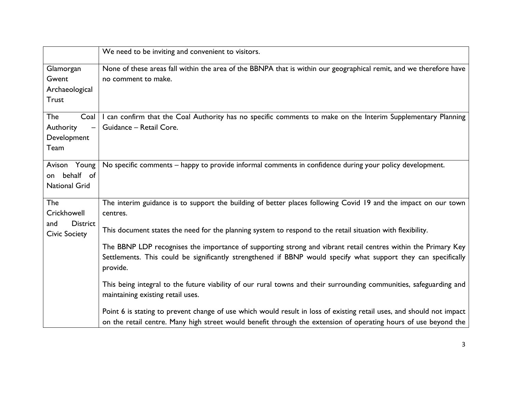|                                                         | We need to be inviting and convenient to visitors.                                                                                                                                                                                          |
|---------------------------------------------------------|---------------------------------------------------------------------------------------------------------------------------------------------------------------------------------------------------------------------------------------------|
| Glamorgan<br>Gwent<br>Archaeological<br><b>Trust</b>    | None of these areas fall within the area of the BBNPA that is within our geographical remit, and we therefore have<br>no comment to make.                                                                                                   |
| The<br>Coal<br>Authority<br>Development<br>Team         | I can confirm that the Coal Authority has no specific comments to make on the Interim Supplementary Planning<br>Guidance - Retail Core.                                                                                                     |
| Avison Young<br>behalf of<br>on<br><b>National Grid</b> | No specific comments - happy to provide informal comments in confidence during your policy development.                                                                                                                                     |
| The<br>Crickhowell<br><b>District</b><br>and            | The interim guidance is to support the building of better places following Covid 19 and the impact on our town<br>centres.                                                                                                                  |
| <b>Civic Society</b>                                    | This document states the need for the planning system to respond to the retail situation with flexibility.                                                                                                                                  |
|                                                         | The BBNP LDP recognises the importance of supporting strong and vibrant retail centres within the Primary Key<br>Settlements. This could be significantly strengthened if BBNP would specify what support they can specifically<br>provide. |
|                                                         | This being integral to the future viability of our rural towns and their surrounding communities, safeguarding and<br>maintaining existing retail uses.                                                                                     |
|                                                         | Point 6 is stating to prevent change of use which would result in loss of existing retail uses, and should not impact<br>on the retail centre. Many high street would benefit through the extension of operating hours of use beyond the    |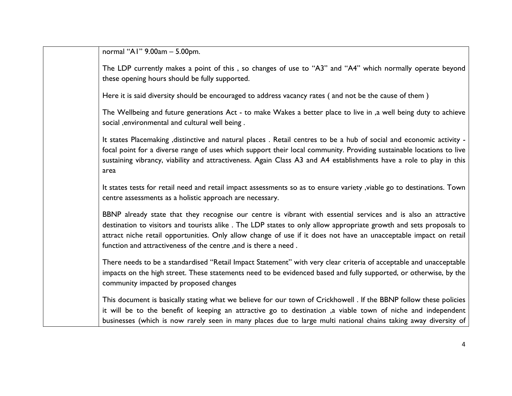normal "A1" 9.00am – 5.00pm.

The LDP currently makes a point of this , so changes of use to "A3" and "A4" which normally operate beyond these opening hours should be fully supported. Here it is said diversity should be encouraged to address vacancy rates ( and not be the cause of them ) The Wellbeing and future generations Act - to make Wakes a better place to live in ,a well being duty to achieve social ,environmental and cultural well being . It states Placemaking ,distinctive and natural places . Retail centres to be a hub of social and economic activity focal point for a diverse range of uses which support their local community. Providing sustainable locations to live sustaining vibrancy, viability and attractiveness. Again Class A3 and A4 establishments have a role to play in this area It states tests for retail need and retail impact assessments so as to ensure variety ,viable go to destinations. Town centre assessments as a holistic approach are necessary. BBNP already state that they recognise our centre is vibrant with essential services and is also an attractive destination to visitors and tourists alike . The LDP states to only allow appropriate growth and sets proposals to attract niche retail opportunities. Only allow change of use if it does not have an unacceptable impact on retail function and attractiveness of the centre ,and is there a need . There needs to be a standardised "Retail Impact Statement" with very clear criteria of acceptable and unacceptable impacts on the high street. These statements need to be evidenced based and fully supported, or otherwise, by the community impacted by proposed changes This document is basically stating what we believe for our town of Crickhowell . If the BBNP follow these policies it will be to the benefit of keeping an attractive go to destination ,a viable town of niche and independent

businesses (which is now rarely seen in many places due to large multi national chains taking away diversity of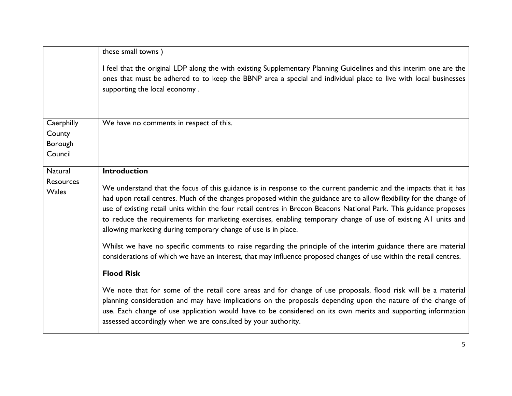|                           | these small towns)                                                                                                                                                                                                                                                                                                                                                                                                                                                                                                                                                                                                                                                    |
|---------------------------|-----------------------------------------------------------------------------------------------------------------------------------------------------------------------------------------------------------------------------------------------------------------------------------------------------------------------------------------------------------------------------------------------------------------------------------------------------------------------------------------------------------------------------------------------------------------------------------------------------------------------------------------------------------------------|
|                           | I feel that the original LDP along the with existing Supplementary Planning Guidelines and this interim one are the<br>ones that must be adhered to to keep the BBNP area a special and individual place to live with local businesses<br>supporting the local economy.                                                                                                                                                                                                                                                                                                                                                                                               |
| Caerphilly                | We have no comments in respect of this.                                                                                                                                                                                                                                                                                                                                                                                                                                                                                                                                                                                                                               |
| County                    |                                                                                                                                                                                                                                                                                                                                                                                                                                                                                                                                                                                                                                                                       |
| Borough<br>Council        |                                                                                                                                                                                                                                                                                                                                                                                                                                                                                                                                                                                                                                                                       |
|                           |                                                                                                                                                                                                                                                                                                                                                                                                                                                                                                                                                                                                                                                                       |
| Natural                   | <b>Introduction</b>                                                                                                                                                                                                                                                                                                                                                                                                                                                                                                                                                                                                                                                   |
| Resources<br><b>Wales</b> | We understand that the focus of this guidance is in response to the current pandemic and the impacts that it has<br>had upon retail centres. Much of the changes proposed within the guidance are to allow flexibility for the change of<br>use of existing retail units within the four retail centres in Brecon Beacons National Park. This guidance proposes<br>to reduce the requirements for marketing exercises, enabling temporary change of use of existing A1 units and<br>allowing marketing during temporary change of use is in place.<br>Whilst we have no specific comments to raise regarding the principle of the interim guidance there are material |
|                           | considerations of which we have an interest, that may influence proposed changes of use within the retail centres.                                                                                                                                                                                                                                                                                                                                                                                                                                                                                                                                                    |
|                           | <b>Flood Risk</b>                                                                                                                                                                                                                                                                                                                                                                                                                                                                                                                                                                                                                                                     |
|                           | We note that for some of the retail core areas and for change of use proposals, flood risk will be a material<br>planning consideration and may have implications on the proposals depending upon the nature of the change of<br>use. Each change of use application would have to be considered on its own merits and supporting information<br>assessed accordingly when we are consulted by your authority.                                                                                                                                                                                                                                                        |